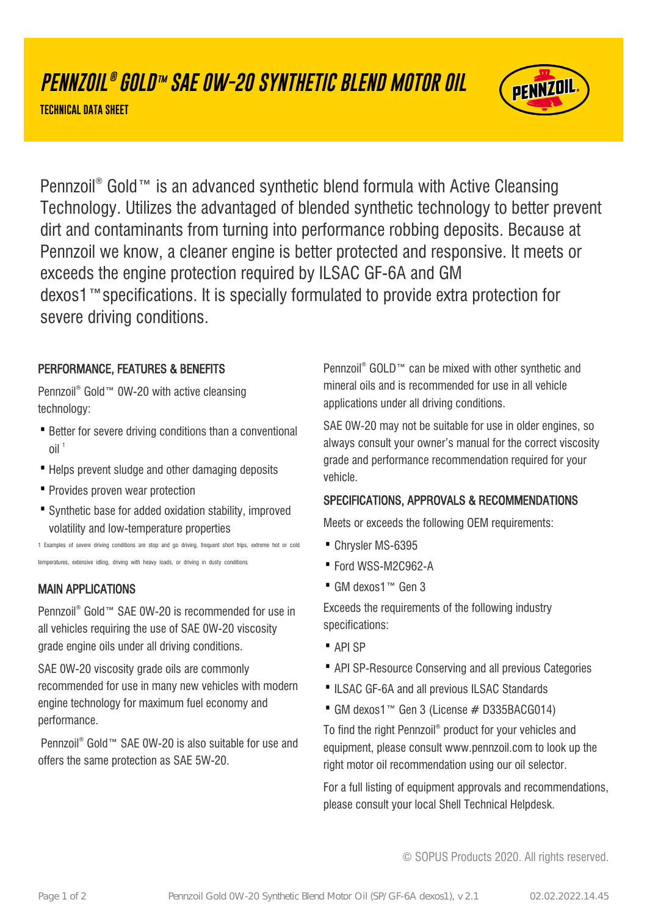# **PENNZOIL ® GOLD™ SAE 0W-20 SYNTHETIC BLEND MOTOR OIL**

**TECHNICAL DATA SHEET**



Pennzoil® Gold™ is an advanced synthetic blend formula with Active Cleansing Technology. Utilizes the advantaged of blended synthetic technology to better prevent dirt and contaminants from turning into performance robbing deposits. Because at Pennzoil we know, a cleaner engine is better protected and responsive. It meets or exceeds the engine protection required by ILSAC GF-6A and GM dexos1™specifications. It is specially formulated to provide extra protection for severe driving conditions.

### PERFORMANCE, FEATURES & BENEFITS

Pennzoil® Gold™ 0W-20 with active cleansing technology:

- Better for severe driving conditions than a conventional  $O$ il<sup>1</sup>
- · Helps prevent sludge and other damaging deposits
- · Provides proven wear protection
- Synthetic base for added oxidation stability, improved volatility and low-temperature properties

1 Examples of severe driving conditions are stop and go driving, frequent short trips, extreme hot or cold temperatures, extensive idling, driving with heavy loads, or driving in dusty conditions

# MAIN APPLICATIONS

Pennzoil® Gold™ SAE 0W-20 is recommended for use in all vehicles requiring the use of SAE 0W-20 viscosity grade engine oils under all driving conditions.

SAE 0W-20 viscosity grade oils are commonly recommended for use in many new vehicles with modern engine technology for maximum fuel economy and performance.

Pennzoil<sup>®</sup> Gold™ SAE 0W-20 is also suitable for use and offers the same protection as SAE 5W-20.

Pennzoil<sup>®</sup> GOLD™ can be mixed with other synthetic and mineral oils and is recommended for use in all vehicle applications under all driving conditions.

SAE 0W-20 may not be suitable for use in older engines, so always consult your owner's manual for the correct viscosity grade and performance recommendation required for your vehicle.

### SPECIFICATIONS, APPROVALS & RECOMMENDATIONS

Meets or exceeds the following OEM requirements:

- · Chrysler MS-6395
- · Ford WSS-M2C962-A
- · GM dexos1™ Gen 3

Exceeds the requirements of the following industry specifications:

- · API SP
- · API SP-Resource Conserving and all previous Categories
- ·ILSAC GF-6A and all previous ILSAC Standards
- · GM dexos1™ Gen 3 (License # D335BACG014)

To find the right Pennzoil® product for your vehicles and equipment, please consult www.pennzoil.com to look up the right motor oil recommendation using our oil selector.

For a full listing of equipment approvals and recommendations, please consult your local Shell Technical Helpdesk.

© SOPUS Products 2020. All rights reserved.